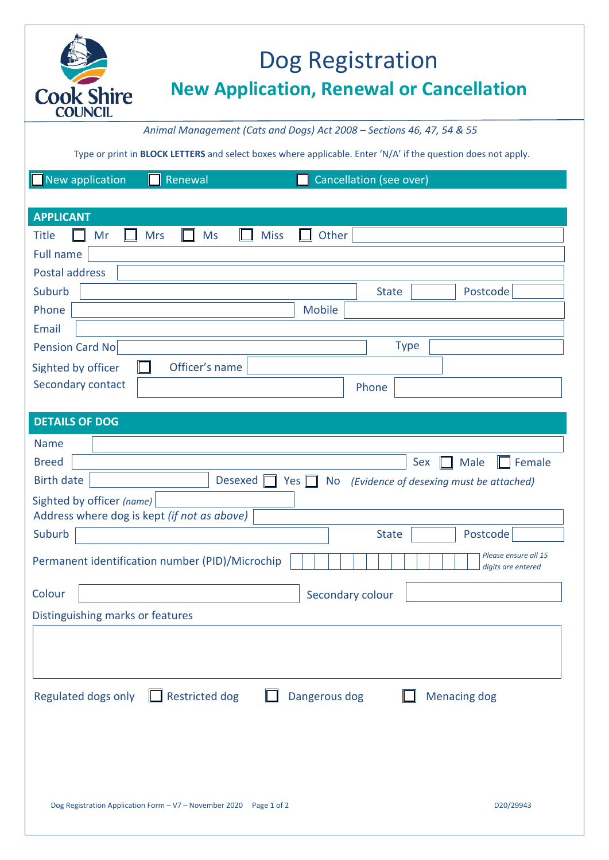

## Dog Registration **New Application, Renewal or Cancellation**

*Animal Management (Cats and Dogs) Act 2008 – Sections 46, 47, 54 & 55*

Type or print in **BLOCK LETTERS** and select boxes where applicable. Enter 'N/A' if the question does not apply.

| New application<br>Renewal<br>Cancellation (see over)                                                |  |  |  |  |  |
|------------------------------------------------------------------------------------------------------|--|--|--|--|--|
|                                                                                                      |  |  |  |  |  |
| <b>APPLICANT</b>                                                                                     |  |  |  |  |  |
| Other<br><b>Mrs</b><br><b>Ms</b><br><b>Miss</b><br><b>Title</b><br>Mr                                |  |  |  |  |  |
| <b>Full name</b><br><b>Postal address</b>                                                            |  |  |  |  |  |
| Suburb<br>Postcode<br><b>State</b>                                                                   |  |  |  |  |  |
| Phone<br><b>Mobile</b>                                                                               |  |  |  |  |  |
| <b>Email</b>                                                                                         |  |  |  |  |  |
| <b>Type</b><br><b>Pension Card No</b>                                                                |  |  |  |  |  |
| Officer's name<br>Sighted by officer                                                                 |  |  |  |  |  |
| Secondary contact<br>Phone                                                                           |  |  |  |  |  |
|                                                                                                      |  |  |  |  |  |
| <b>DETAILS OF DOG</b>                                                                                |  |  |  |  |  |
| <b>Name</b>                                                                                          |  |  |  |  |  |
| <b>Breed</b><br>Male<br>Female<br>Sex                                                                |  |  |  |  |  |
| <b>Birth date</b><br>Desexed  <br>Yes $\Box$<br><b>No</b><br>(Evidence of desexing must be attached) |  |  |  |  |  |
| Sighted by officer (name)<br>Address where dog is kept (if not as above)                             |  |  |  |  |  |
| Suburb<br><b>State</b><br>Postcode                                                                   |  |  |  |  |  |
| Please ensure all 15<br>Permanent identification number (PID)/Microchip<br>digits are entered        |  |  |  |  |  |
| Colour<br>Secondary colour                                                                           |  |  |  |  |  |
| Distinguishing marks or features                                                                     |  |  |  |  |  |
|                                                                                                      |  |  |  |  |  |
| Regulated dogs only $\Box$ Restricted dog<br><b>Menacing dog</b><br>Dangerous dog                    |  |  |  |  |  |
| D20/29943<br>Dog Registration Application Form - V7 - November 2020  Page 1 of 2                     |  |  |  |  |  |